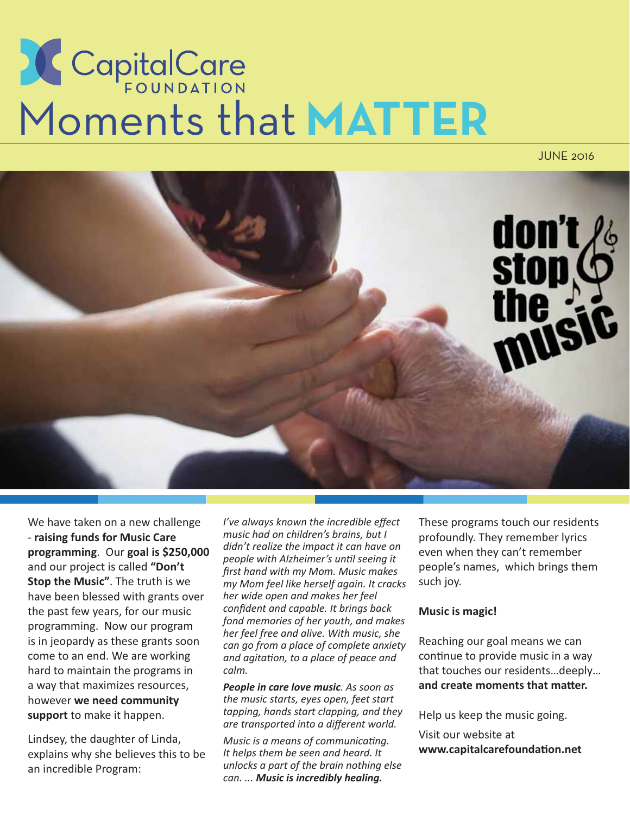# **COPITAL COPY AND ATTER**

JUNE 2016



We have taken on a new challenge - **raising funds for Music Care programming**. Our **goal is \$250,000** and our project is called **"Don't Stop the Music"**. The truth is we have been blessed with grants over the past few years, for our music programming. Now our program is in jeopardy as these grants soon come to an end. We are working hard to maintain the programs in a way that maximizes resources, however **we need community support** to make it happen.

Lindsey, the daughter of Linda, explains why she believes this to be an incredible Program:

I've always known the incredible effect *music had on children's brains, but I didn't realize the impact it can have on*  people with Alzheimer's until seeing it .<br>first hand with mv Mom. Music makes ,<br>mv Mom feel like herself aaain. It cracks her wide open and makes her feel confident and capable. It brings back fond memories of her vouth, and makes her feel free and alive. With music, she can ao from a place of complete anxiety and agitation, to a place of peace and *calm.* 

*People in care love music!*  the music starts, eves open, feet start *tapping. hands start clapping, and they* are transported into a different world.

**Music is a means of communicating.** It helps them be seen and heard. It unlocks a part of the brain nothing else *!!!!Music is incredibly healing.* 

These programs touch our residents profoundly. They remember lyrics even when they can't remember people's names, which brings them such joy.

#### **Music is magic!**

Reaching our goal means we can continue to provide music in a way that touches our residents…deeply… and create moments that matter.

Help us keep the music going.

Visit our website at  $\bf{www.capitalcare foundation.net}$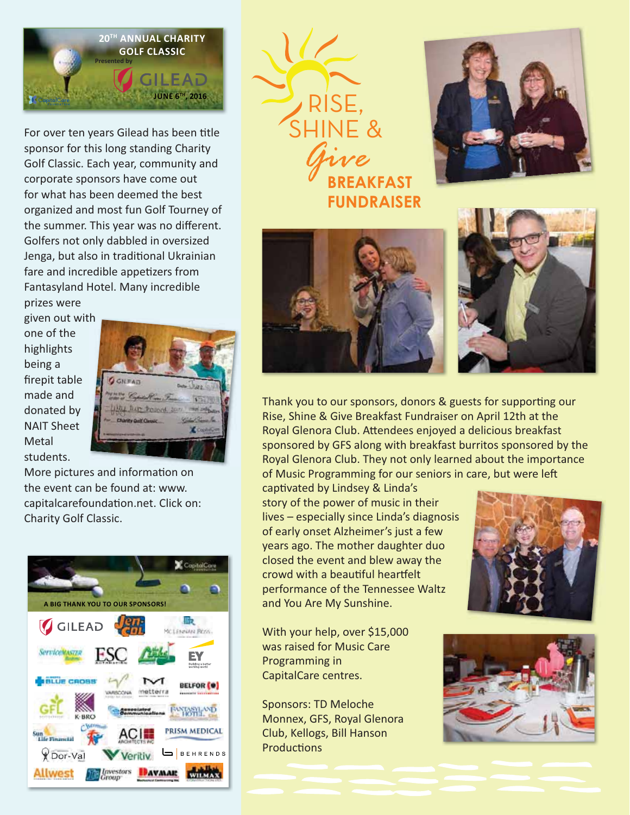

For over ten years Gilead has been title sponsor for this long standing Charity Golf Classic. Each year, community and corporate sponsors have come out for what has been deemed the best organized and most fun Golf Tourney of the summer. This year was no different. Golfers not only dabbled in oversized Jenga, but also in traditional Ukrainian fare and incredible appetizers from Fantasyland Hotel. Many incredible

prizes were given out with hone of the highlights being a firepit table made and donated by NAIT Sheet Metal students.



More pictures and information on the event can be found at: www. capitalcarefoundation.net. Click on: Charity Golf Classic.



RISE, SHINE & *Give* **BREAKFAST FUNDRAISER**







Thank you to our sponsors, donors & guests for supporting our Rise, Shine & Give Breakfast Fundraiser on April 12th at the Royal Glenora Club. Attendees enjoyed a delicious breakfast sponsored by GFS along with breakfast burritos sponsored by the Royal Glenora Club. They not only learned about the importance of Music Programming for our seniors in care, but were left

captivated by Lindsey & Linda's story of the power of music in their lives – especially since Linda's diagnosis of early onset Alzheimer's just a few years ago. The mother daughter duo closed the event and blew away the crowd with a beautiful heartfelt performance of the Tennessee Waltz and You Are My Sunshine.

With your help, over \$15,000 was raised for Music Care Programming in CapitalCare centres.

Sponsors: TD Meloche Monnex, GFS, Royal Glenora Club, Kellogs, Bill Hanson Productions



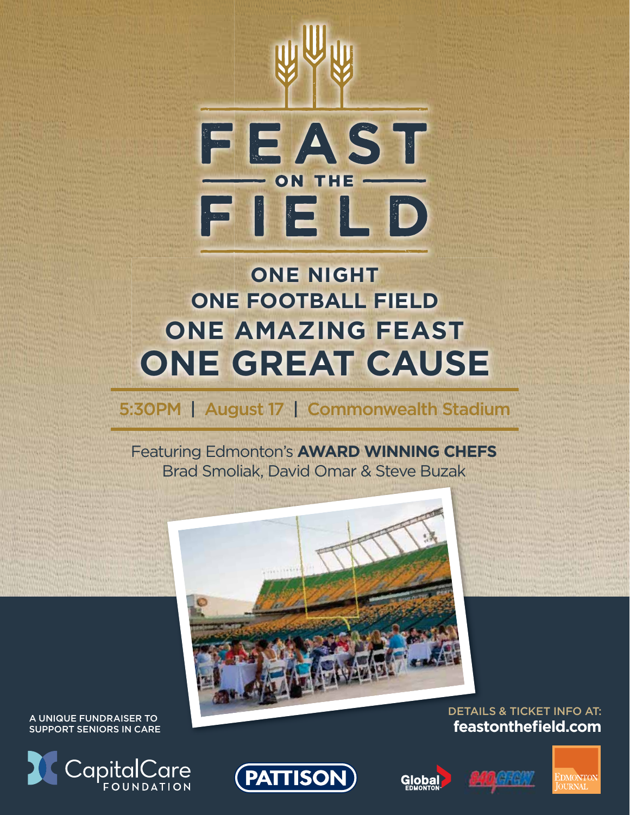

# **ONE NIGHT ONE FOOTBALL FIELD ONE AMAZING FEAST ONE GREAT CAUSE**

## 5:30PM | August 17 | Commonwealth Stadium

## Featuring Edmonton's **AWARD WINNING CHEFS** Brad Smoliak, David Omar & Steve Buzak



SUPPORT SENIORS IN CARE









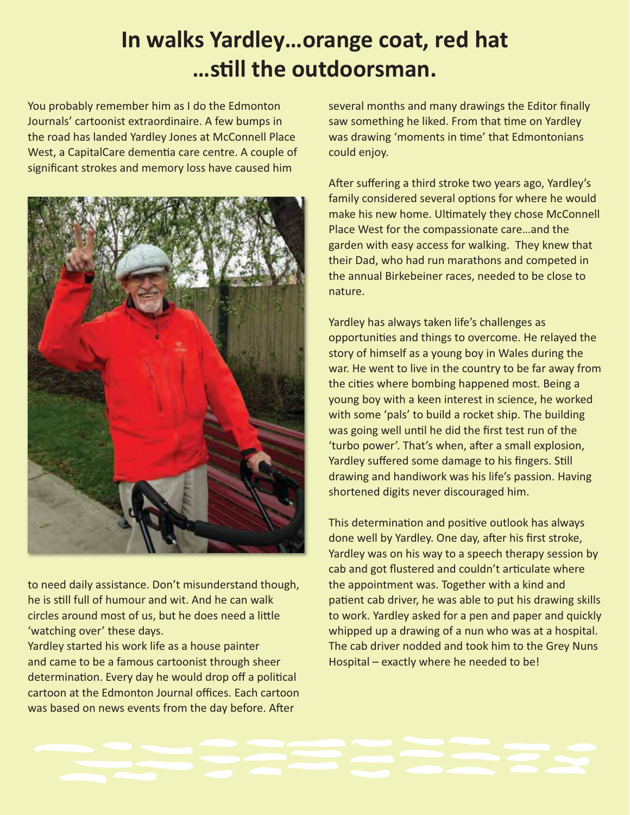## **In walks Yardley…orange coat, red hat** ...still the outdoorsman.

You probably remember him as I do the Edmonton Journals' cartoonist extraordinaire. A few bumps in the road has landed Yardley Jones at McConnell Place West, a CapitalCare dementia care centre. A couple of significant strokes and memory loss have caused him



to need daily assistance. Don't misunderstand though, he is still full of humour and wit. And he can walk circles around most of us, but he does need a little 'watching over' these days.

Yardley started his work life as a house painter and came to be a famous cartoonist through sheer determination. Every day he would drop off a political cartoon at the Edmonton Journal offices. Each cartoon was based on news events from the day before. After

several months and many drawings the Editor finally saw something he liked. From that time on Yardley was drawing 'moments in time' that Edmontonians could enjoy.

After suffering a third stroke two years ago, Yardley's family considered several options for where he would make his new home. Ultimately they chose McConnell Place West for the compassionate care…and the garden with easy access for walking. They knew that their Dad, who had run marathons and competed in the annual Birkebeiner races, needed to be close to nature.

Yardley has always taken life's challenges as opportunities and things to overcome. He relayed the story of himself as a young boy in Wales during the war. He went to live in the country to be far away from the cities where bombing happened most. Being a young boy with a keen interest in science, he worked with some 'pals' to build a rocket ship. The building was going well until he did the first test run of the 'turbo power'. That's when, after a small explosion, Yardley suffered some damage to his fingers. Still drawing and handiwork was his life's passion. Having shortened digits never discouraged him.

This determination and positive outlook has always done well by Yardley. One day, after his first stroke, Yardley was on his way to a speech therapy session by cab and got flustered and couldn't articulate where the appointment was. Together with a kind and patient cab driver, he was able to put his drawing skills to work. Yardley asked for a pen and paper and quickly whipped up a drawing of a nun who was at a hospital. The cab driver nodded and took him to the Grey Nuns Hospital – exactly where he needed to be!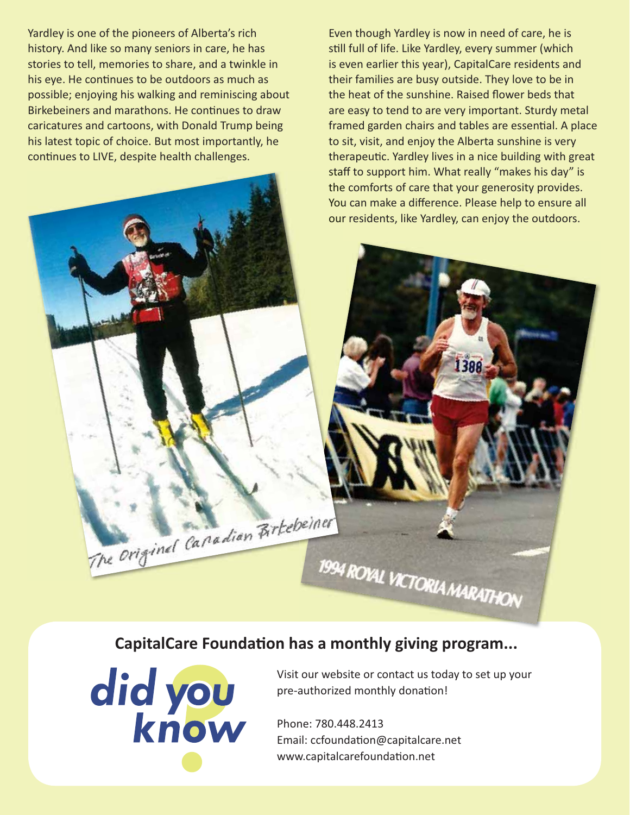Yardley is one of the pioneers of Alberta's rich history. And like so many seniors in care, he has stories to tell, memories to share, and a twinkle in his eye. He continues to be outdoors as much as possible; enjoying his walking and reminiscing about Birkebeiners and marathons. He continues to draw caricatures and cartoons, with Donald Trump being his latest topic of choice. But most importantly, he continues to LIVE, despite health challenges.

Even though Yardley is now in need of care, he is still full of life. Like Yardley, every summer (which is even earlier this year), CapitalCare residents and their families are busy outside. They love to be in the heat of the sunshine. Raised flower beds that are easy to tend to are very important. Sturdy metal framed garden chairs and tables are essential. A place to sit, visit, and enjoy the Alberta sunshine is very therapeutic. Yardley lives in a nice building with great staff to support him. What really "makes his day" is the comforts of care that your generosity provides. the You can make a difference. Please help to ensure all our residents, like Yardley, can enjoy the outdoors.

1388

## CapitalCare Foundation has a monthly giving program...



The Original Canadian Birtebeiner

Visit our website or contact us today to set up your pre-authorized monthly donation!

1994 ROYAL VICTORIA MARATHON

Phone: 780.448.2413 Email: ccfoundation@capitalcare.net www.capitalcarefoundation.net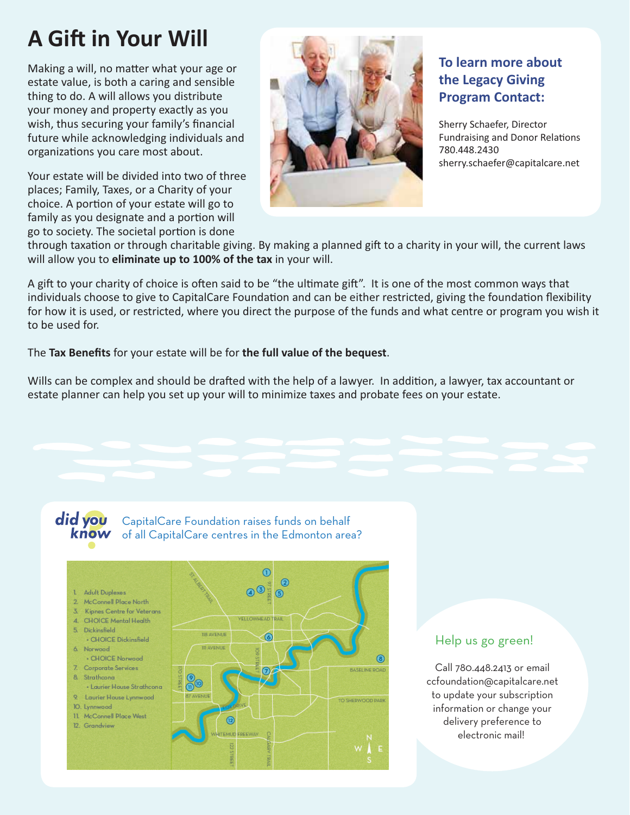# **A Gift in Your Will**

Making a will, no matter what your age or estate value, is both a caring and sensible thing to do. A will allows you distribute your money and property exactly as you wish, thus securing your family's financial future while acknowledging individuals and organizations you care most about.

Your estate will be divided into two of three places; Family, Taxes, or a Charity of your choice. A portion of your estate will go to family as you designate and a portion will go to society. The societal portion is done



### **To learn more about the Legacy Giving Program Contact:**

Sherry Schaefer, Director **Fundraising and Donor Relations** 780.448.2430 sherry.schaefer@capitalcare.net

through taxation or through charitable giving. By making a planned gift to a charity in your will, the current laws will allow you to **eliminate up to 100% of the tax** in your will.

A gift to your charity of choice is often said to be "the ultimate gift". It is one of the most common ways that individuals choose to give to CapitalCare Foundation and can be either restricted, giving the foundation flexibility for how it is used, or restricted, where you direct the purpose of the funds and what centre or program you wish it to be used for.

The Tax Benefits for your estate will be for the full value of the bequest.

Wills can be complex and should be drafted with the help of a lawyer. In addition, a lawyer, tax accountant or estate planner can help you set up your will to minimize taxes and probate fees on your estate.



CapitalCare Foundation raises funds on behalf of all CapitalCare centres in the Edmonton area?



#### Help us go green!

Call 780.448.2413 or email ccfoundation@capitalcare.net to update your subscription information or change your delivery preference to electronic mail!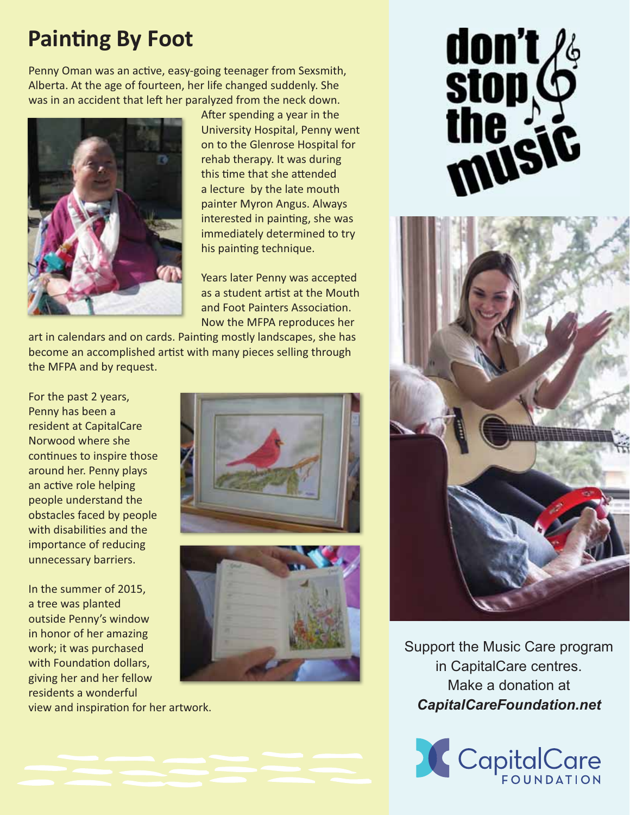# **Painting By Foot**

Penny Oman was an active, easy-going teenager from Sexsmith, Alberta. At the age of fourteen, her life changed suddenly. She was in an accident that left her paralyzed from the neck down.



After spending a year in the University Hospital, Penny went on to the Glenrose Hospital for rehab therapy. It was during this time that she attended a lecture by the late mouth painter Myron Angus. Always interested in painting, she was immediately determined to try his painting technique.

Years later Penny was accepted as a student artist at the Mouth and Foot Painters Association. Now the MFPA reproduces her

art in calendars and on cards. Painting mostly landscapes, she has become an accomplished artist with many pieces selling through the MFPA and by request.

For the past 2 years, Penny has been a resident at CapitalCare Norwood where she continues to inspire those around her. Penny plays an active role helping people understand the obstacles faced by people with disabilities and the importance of reducing unnecessary barriers.

In the summer of 2015, a tree was planted outside Penny's window in honor of her amazing work; it was purchased with Foundation dollars, giving her and her fellow residents a wonderful view and inspiration for her artwork.





don't &<br>stop O<br>the sic



Support the Music Care program in CapitalCare centres. Make a donation at *CapitalCareFoundation.net*